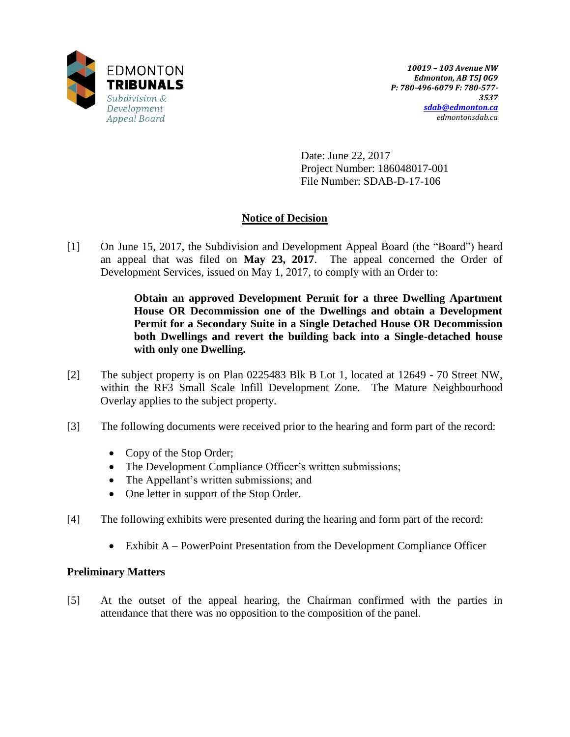

Date: June 22, 2017 Project Number: 186048017-001 File Number: SDAB-D-17-106

# **Notice of Decision**

[1] On June 15, 2017, the Subdivision and Development Appeal Board (the "Board") heard an appeal that was filed on **May 23, 2017**. The appeal concerned the Order of Development Services, issued on May 1, 2017, to comply with an Order to:

> **Obtain an approved Development Permit for a three Dwelling Apartment House OR Decommission one of the Dwellings and obtain a Development Permit for a Secondary Suite in a Single Detached House OR Decommission both Dwellings and revert the building back into a Single-detached house with only one Dwelling.**

- [2] The subject property is on Plan 0225483 Blk B Lot 1, located at 12649 70 Street NW, within the RF3 Small Scale Infill Development Zone. The Mature Neighbourhood Overlay applies to the subject property.
- [3] The following documents were received prior to the hearing and form part of the record:
	- Copy of the Stop Order;
	- The Development Compliance Officer's written submissions;
	- The Appellant's written submissions; and
	- One letter in support of the Stop Order.
- [4] The following exhibits were presented during the hearing and form part of the record:
	- Exhibit A PowerPoint Presentation from the Development Compliance Officer

## **Preliminary Matters**

[5] At the outset of the appeal hearing, the Chairman confirmed with the parties in attendance that there was no opposition to the composition of the panel.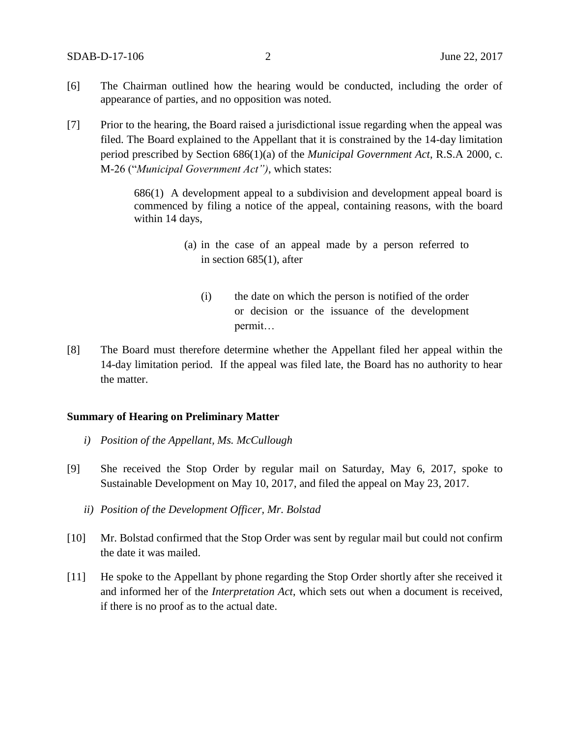- [6] The Chairman outlined how the hearing would be conducted, including the order of appearance of parties, and no opposition was noted.
- [7] Prior to the hearing, the Board raised a jurisdictional issue regarding when the appeal was filed. The Board explained to the Appellant that it is constrained by the 14-day limitation period prescribed by Section 686(1)(a) of the *Municipal Government Act*, R.S.A 2000, c. M-26 ("*Municipal Government Act")*, which states:

686(1) A development appeal to a subdivision and development appeal board is commenced by filing a notice of the appeal, containing reasons, with the board within 14 days,

- (a) in the case of an appeal made by a person referred to in section 685(1), after
	- (i) the date on which the person is notified of the order or decision or the issuance of the development permit…
- [8] The Board must therefore determine whether the Appellant filed her appeal within the 14-day limitation period. If the appeal was filed late, the Board has no authority to hear the matter.

#### **Summary of Hearing on Preliminary Matter**

- *i) Position of the Appellant, Ms. McCullough*
- [9] She received the Stop Order by regular mail on Saturday, May 6, 2017, spoke to Sustainable Development on May 10, 2017, and filed the appeal on May 23, 2017.
	- *ii) Position of the Development Officer, Mr. Bolstad*
- [10] Mr. Bolstad confirmed that the Stop Order was sent by regular mail but could not confirm the date it was mailed.
- [11] He spoke to the Appellant by phone regarding the Stop Order shortly after she received it and informed her of the *Interpretation Act*, which sets out when a document is received, if there is no proof as to the actual date.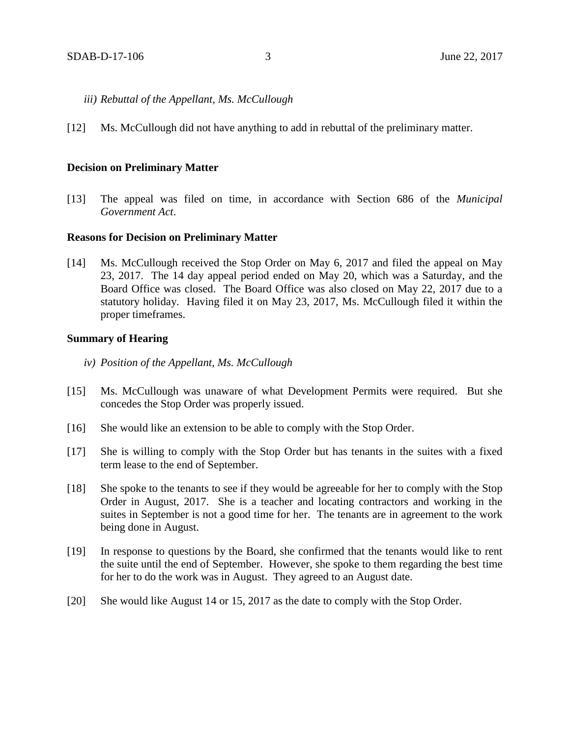- *iii) Rebuttal of the Appellant, Ms. McCullough*
- [12] Ms. McCullough did not have anything to add in rebuttal of the preliminary matter.

#### **Decision on Preliminary Matter**

[13] The appeal was filed on time, in accordance with Section 686 of the *Municipal Government Act*.

#### **Reasons for Decision on Preliminary Matter**

[14] Ms. McCullough received the Stop Order on May 6, 2017 and filed the appeal on May 23, 2017. The 14 day appeal period ended on May 20, which was a Saturday, and the Board Office was closed. The Board Office was also closed on May 22, 2017 due to a statutory holiday. Having filed it on May 23, 2017, Ms. McCullough filed it within the proper timeframes.

#### **Summary of Hearing**

- *iv) Position of the Appellant, Ms. McCullough*
- [15] Ms. McCullough was unaware of what Development Permits were required. But she concedes the Stop Order was properly issued.
- [16] She would like an extension to be able to comply with the Stop Order.
- [17] She is willing to comply with the Stop Order but has tenants in the suites with a fixed term lease to the end of September.
- [18] She spoke to the tenants to see if they would be agreeable for her to comply with the Stop Order in August, 2017. She is a teacher and locating contractors and working in the suites in September is not a good time for her. The tenants are in agreement to the work being done in August.
- [19] In response to questions by the Board, she confirmed that the tenants would like to rent the suite until the end of September. However, she spoke to them regarding the best time for her to do the work was in August. They agreed to an August date.
- [20] She would like August 14 or 15, 2017 as the date to comply with the Stop Order.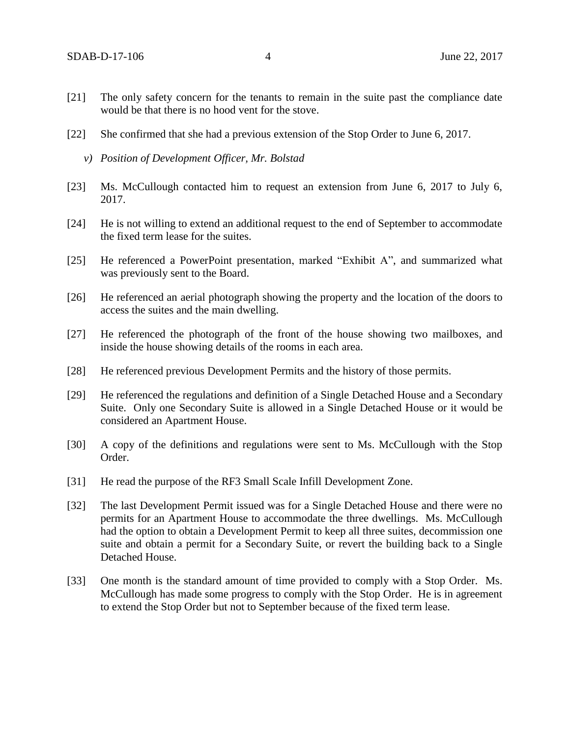- [21] The only safety concern for the tenants to remain in the suite past the compliance date would be that there is no hood vent for the stove.
- [22] She confirmed that she had a previous extension of the Stop Order to June 6, 2017.
	- *v) Position of Development Officer, Mr. Bolstad*
- [23] Ms. McCullough contacted him to request an extension from June 6, 2017 to July 6, 2017.
- [24] He is not willing to extend an additional request to the end of September to accommodate the fixed term lease for the suites.
- [25] He referenced a PowerPoint presentation, marked "Exhibit A", and summarized what was previously sent to the Board.
- [26] He referenced an aerial photograph showing the property and the location of the doors to access the suites and the main dwelling.
- [27] He referenced the photograph of the front of the house showing two mailboxes, and inside the house showing details of the rooms in each area.
- [28] He referenced previous Development Permits and the history of those permits.
- [29] He referenced the regulations and definition of a Single Detached House and a Secondary Suite. Only one Secondary Suite is allowed in a Single Detached House or it would be considered an Apartment House.
- [30] A copy of the definitions and regulations were sent to Ms. McCullough with the Stop Order.
- [31] He read the purpose of the RF3 Small Scale Infill Development Zone.
- [32] The last Development Permit issued was for a Single Detached House and there were no permits for an Apartment House to accommodate the three dwellings. Ms. McCullough had the option to obtain a Development Permit to keep all three suites, decommission one suite and obtain a permit for a Secondary Suite, or revert the building back to a Single Detached House.
- [33] One month is the standard amount of time provided to comply with a Stop Order. Ms. McCullough has made some progress to comply with the Stop Order. He is in agreement to extend the Stop Order but not to September because of the fixed term lease.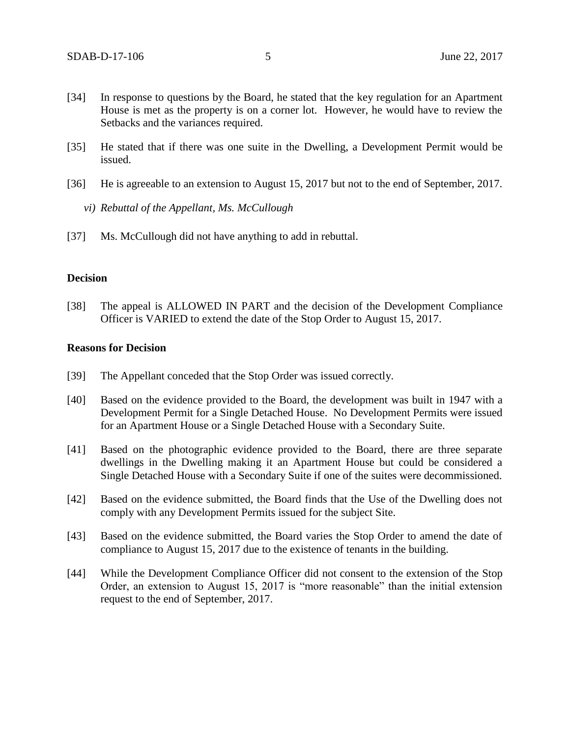- [34] In response to questions by the Board, he stated that the key regulation for an Apartment House is met as the property is on a corner lot. However, he would have to review the Setbacks and the variances required.
- [35] He stated that if there was one suite in the Dwelling, a Development Permit would be issued.
- [36] He is agreeable to an extension to August 15, 2017 but not to the end of September, 2017.
	- *vi) Rebuttal of the Appellant, Ms. McCullough*
- [37] Ms. McCullough did not have anything to add in rebuttal.

## **Decision**

[38] The appeal is ALLOWED IN PART and the decision of the Development Compliance Officer is VARIED to extend the date of the Stop Order to August 15, 2017.

## **Reasons for Decision**

- [39] The Appellant conceded that the Stop Order was issued correctly.
- [40] Based on the evidence provided to the Board, the development was built in 1947 with a Development Permit for a Single Detached House. No Development Permits were issued for an Apartment House or a Single Detached House with a Secondary Suite.
- [41] Based on the photographic evidence provided to the Board, there are three separate dwellings in the Dwelling making it an Apartment House but could be considered a Single Detached House with a Secondary Suite if one of the suites were decommissioned.
- [42] Based on the evidence submitted, the Board finds that the Use of the Dwelling does not comply with any Development Permits issued for the subject Site.
- [43] Based on the evidence submitted, the Board varies the Stop Order to amend the date of compliance to August 15, 2017 due to the existence of tenants in the building.
- [44] While the Development Compliance Officer did not consent to the extension of the Stop Order, an extension to August 15, 2017 is "more reasonable" than the initial extension request to the end of September, 2017.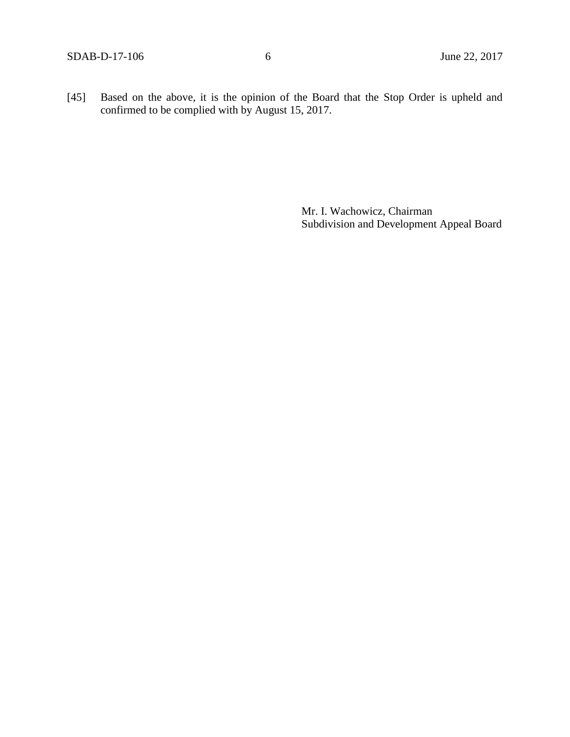[45] Based on the above, it is the opinion of the Board that the Stop Order is upheld and confirmed to be complied with by August 15, 2017.

> Mr. I. Wachowicz, Chairman Subdivision and Development Appeal Board